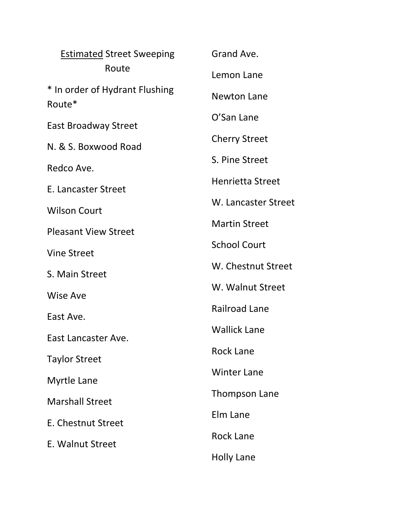| <b>Estimated Street Sweeping</b><br>Route | Grand Ave.              |
|-------------------------------------------|-------------------------|
|                                           | Lemon Lane              |
| * In order of Hydrant Flushing<br>Route*  | <b>Newton Lane</b>      |
|                                           | O'San Lane              |
| <b>East Broadway Street</b>               | <b>Cherry Street</b>    |
| N. & S. Boxwood Road                      | S. Pine Street          |
| Redco Ave.                                | <b>Henrietta Street</b> |
| E. Lancaster Street                       |                         |
| <b>Wilson Court</b>                       | W. Lancaster Street     |
| <b>Pleasant View Street</b>               | <b>Martin Street</b>    |
| <b>Vine Street</b>                        | <b>School Court</b>     |
| S. Main Street                            | W. Chestnut Street      |
| Wise Ave                                  | W. Walnut Street        |
| East Ave.                                 | <b>Railroad Lane</b>    |
| East Lancaster Ave.                       | <b>Wallick Lane</b>     |
|                                           | <b>Rock Lane</b>        |
| <b>Taylor Street</b>                      | <b>Winter Lane</b>      |
| Myrtle Lane                               |                         |
| <b>Marshall Street</b>                    | Thompson Lane           |
| E. Chestnut Street                        | Elm Lane                |
| E. Walnut Street                          | <b>Rock Lane</b>        |
|                                           | <b>Holly Lane</b>       |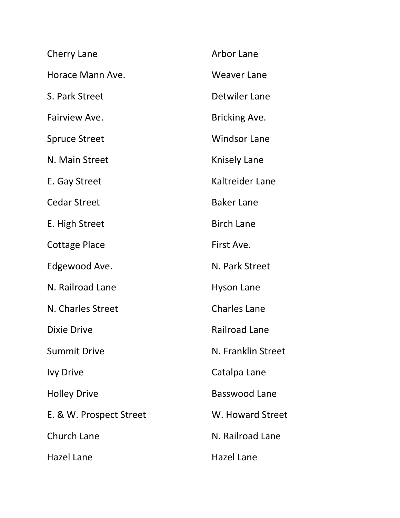| Cherry Lane             | <b>Arbor Lane</b>    |
|-------------------------|----------------------|
| Horace Mann Ave.        | <b>Weaver Lane</b>   |
| S. Park Street          | <b>Detwiler Lane</b> |
| Fairview Ave.           | Bricking Ave.        |
| <b>Spruce Street</b>    | <b>Windsor Lane</b>  |
| N. Main Street          | Knisely Lane         |
| E. Gay Street           | Kaltreider Lane      |
| <b>Cedar Street</b>     | <b>Baker Lane</b>    |
| E. High Street          | <b>Birch Lane</b>    |
| <b>Cottage Place</b>    | First Ave.           |
| Edgewood Ave.           | N. Park Street       |
| N. Railroad Lane        | <b>Hyson Lane</b>    |
| N. Charles Street       | <b>Charles Lane</b>  |
| <b>Dixie Drive</b>      | <b>Railroad Lane</b> |
| <b>Summit Drive</b>     | N. Franklin Street   |
| <b>Ivy Drive</b>        | Catalpa Lane         |
| <b>Holley Drive</b>     | Basswood Lane        |
| E. & W. Prospect Street | W. Howard Street     |
| <b>Church Lane</b>      | N. Railroad Lane     |
| <b>Hazel Lane</b>       | <b>Hazel Lane</b>    |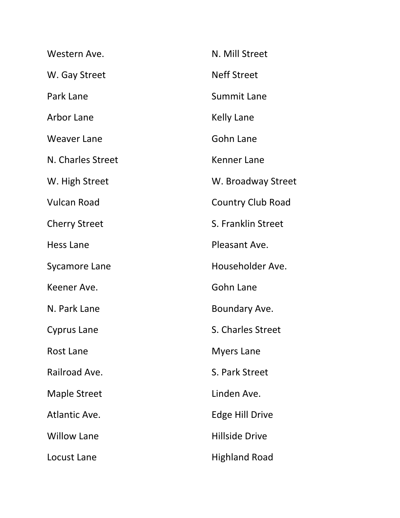| Western Ave.         | N. Mill Street           |
|----------------------|--------------------------|
| W. Gay Street        | <b>Neff Street</b>       |
| Park Lane            | <b>Summit Lane</b>       |
| Arbor Lane           | <b>Kelly Lane</b>        |
| <b>Weaver Lane</b>   | Gohn Lane                |
| N. Charles Street    | Kenner Lane              |
| W. High Street       | W. Broadway Street       |
| <b>Vulcan Road</b>   | <b>Country Club Road</b> |
| <b>Cherry Street</b> | S. Franklin Street       |
| Hess Lane            | Pleasant Ave.            |
| <b>Sycamore Lane</b> | Householder Ave.         |
| Keener Ave.          | <b>Gohn Lane</b>         |
| N. Park Lane         | Boundary Ave.            |
| Cyprus Lane          | S. Charles Street        |
| <b>Rost Lane</b>     | <b>Myers Lane</b>        |
| Railroad Ave.        | S. Park Street           |
| <b>Maple Street</b>  | Linden Ave.              |
| Atlantic Ave.        | <b>Edge Hill Drive</b>   |
| <b>Willow Lane</b>   | <b>Hillside Drive</b>    |
| Locust Lane          | <b>Highland Road</b>     |